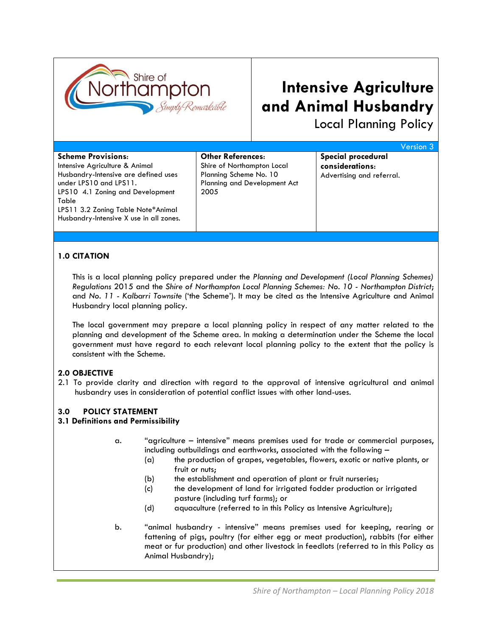

# **Intensive Agriculture and Animal Husbandry**

Local Planning Policy

|                                         |                                     | <b>Version 3</b>          |
|-----------------------------------------|-------------------------------------|---------------------------|
| <b>Scheme Provisions:</b>               | <b>Other References:</b>            | Special procedural        |
| Intensive Agriculture & Animal          | Shire of Northampton Local          | considerations:           |
| Husbandry-Intensive are defined uses    | Planning Scheme No. 10              | Advertising and referral. |
| under LPS10 and LPS11.                  | <b>Planning and Development Act</b> |                           |
| LPS10 4.1 Zoning and Development        | 2005                                |                           |
| Table                                   |                                     |                           |
| LPS11 3.2 Zoning Table Note*Animal      |                                     |                           |
| Husbandry-Intensive X use in all zones. |                                     |                           |
|                                         |                                     |                           |

## **1.0 CITATION**

This is a local planning policy prepared under the *Planning and Development (Local Planning Schemes) Regulations* 2015 and the *Shire of Northampton Local Planning Schemes: No. 10 - Northampton District*; and *No. 11 - Kalbarri Townsite* ('the Scheme'). It may be cited as the Intensive Agriculture and Animal Husbandry local planning policy.

The local government may prepare a local planning policy in respect of any matter related to the planning and development of the Scheme area. In making a determination under the Scheme the local government must have regard to each relevant local planning policy to the extent that the policy is consistent with the Scheme.

## **2.0 OBJECTIVE**

2.1 To provide clarity and direction with regard to the approval of intensive agricultural and animal husbandry uses in consideration of potential conflict issues with other land-uses.

### **3.0 POLICY STATEMENT**

### **3.1 Definitions and Permissibility**

- a. "agriculture intensive" means premises used for trade or commercial purposes, including outbuildings and earthworks, associated with the following –
	- (a) the production of grapes, vegetables, flowers, exotic or native plants, or fruit or nuts;
	- (b) the establishment and operation of plant or fruit nurseries;
	- (c) the development of land for irrigated fodder production or irrigated pasture (including turf farms); or
	- (d) aquaculture (referred to in this Policy as Intensive Agriculture);
- b. "animal husbandry intensive" means premises used for keeping, rearing or fattening of pigs, poultry (for either egg or meat production), rabbits (for either meat or fur production) and other livestock in feedlots (referred to in this Policy as Animal Husbandry);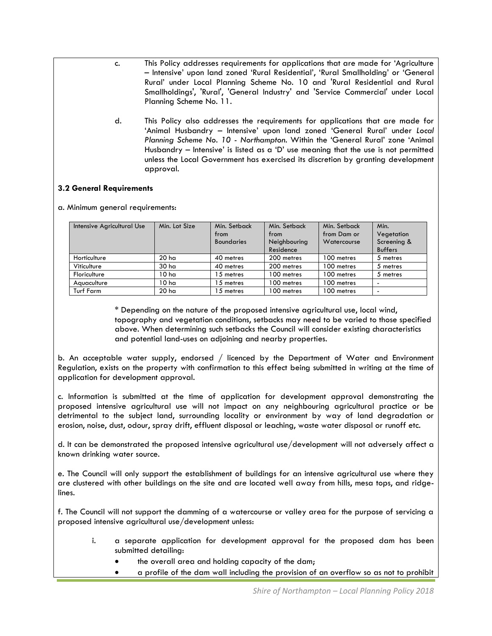- c. This Policy addresses requirements for applications that are made for 'Agriculture – Intensive' upon land zoned 'Rural Residential', 'Rural Smallholding' or 'General Rural' under Local Planning Scheme No. 10 and 'Rural Residential and Rural Smallholdings', 'Rural', 'General Industry' and 'Service Commercial' under Local Planning Scheme No. 11.
- d. This Policy also addresses the requirements for applications that are made for 'Animal Husbandry – Intensive' upon land zoned 'General Rural' under *Local Planning Scheme No. 10 - Northampton*. Within the 'General Rural' zone 'Animal Husbandry – Intensive' is listed as a 'D' use meaning that the use is not permitted unless the Local Government has exercised its discretion by granting development approval.

### **3.2 General Requirements**

a. Minimum general requirements:

| Intensive Agricultural Use | Min. Lot Size    | Min. Setback<br>from<br><b>Boundaries</b> | Min. Setback<br>from<br>Neighbouring<br>Residence | Min. Setback<br>from Dam or<br>Watercourse | Min.<br>Vegetation<br>Screening &<br><b>Buffers</b> |
|----------------------------|------------------|-------------------------------------------|---------------------------------------------------|--------------------------------------------|-----------------------------------------------------|
| Horticulture               | 20 <sub>ha</sub> | 40 metres                                 | 200 metres                                        | 100 metres                                 | 5 metres                                            |
| Viticulture                | 30 ha            | 40 metres                                 | 200 metres                                        | 100 metres                                 | 5 metres                                            |
| Floriculture               | 10 <sub>ha</sub> | 15 metres                                 | 100 metres                                        | 100 metres                                 | 5 metres                                            |
| Aquaculture                | 10 <sub>ha</sub> | 15 metres                                 | 100 metres                                        | 100 metres                                 | -                                                   |
| Turf Farm                  | 20 <sub>ha</sub> | 15 metres                                 | 100 metres                                        | 100 metres                                 | -                                                   |

\* Depending on the nature of the proposed intensive agricultural use, local wind, topography and vegetation conditions, setbacks may need to be varied to those specified above. When determining such setbacks the Council will consider existing characteristics and potential land-uses on adjoining and nearby properties.

b. An acceptable water supply, endorsed / licenced by the Department of Water and Environment Regulation, exists on the property with confirmation to this effect being submitted in writing at the time of application for development approval.

c. Information is submitted at the time of application for development approval demonstrating the proposed intensive agricultural use will not impact on any neighbouring agricultural practice or be detrimental to the subject land, surrounding locality or environment by way of land degradation or erosion, noise, dust, odour, spray drift, effluent disposal or leaching, waste water disposal or runoff etc.

d. It can be demonstrated the proposed intensive agricultural use/development will not adversely affect a known drinking water source.

e. The Council will only support the establishment of buildings for an intensive agricultural use where they are clustered with other buildings on the site and are located well away from hills, mesa tops, and ridgelines.

f. The Council will not support the damming of a watercourse or valley area for the purpose of servicing a proposed intensive agricultural use/development unless:

- i. a separate application for development approval for the proposed dam has been submitted detailing:
	- the overall area and holding capacity of the dam;
	- a profile of the dam wall including the provision of an overflow so as not to prohibit